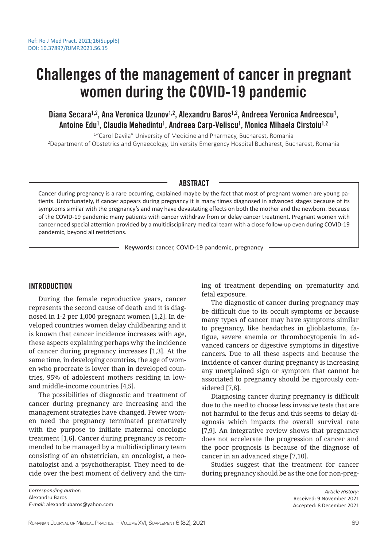# Challenges of the management of cancer in pregnant women during the COVID-19 pandemic

# Diana Secara<sup>1,2</sup>, Ana Veronica Uzunov<sup>1,2</sup>, Alexandru Baros<sup>1,2</sup>, Andreea Veronica Andreescu<sup>1</sup>, Antoine Edu<sup>1</sup>, Claudia Mehedintu<sup>1</sup>, Andreea Carp-Veliscu<sup>1</sup>, Monica Mihaela Cirstoiu<sup>1,2</sup>

<sup>1</sup> "Carol Davila" University of Medicine and Pharmacy, Bucharest, Romania <sup>2</sup>Department of Obstetrics and Gynaecology, University Emergency Hospital Bucharest, Bucharest, Romania

#### ABSTRACT

Cancer during pregnancy is a rare occurring, explained maybe by the fact that most of pregnant women are young patients. Unfortunately, if cancer appears during pregnancy it is many times diagnosed in advanced stages because of its symptoms similar with the pregnancy's and may have devastating effects on both the mother and the newborn. Because of the COVID-19 pandemic many patients with cancer withdraw from or delay cancer treatment. Pregnant women with cancer need special attention provided by a multidisciplinary medical team with a close follow-up even during COVID-19 pandemic, beyond all restrictions.

**Keywords:** cancer, COVID-19 pandemic, pregnancy

# **INTRODUCTION**

During the female reproductive years, cancer represents the second cause of death and it is diagnosed in 1-2 per 1,000 pregnant women [1,2]. In developed countries women delay childbearing and it is known that cancer incidence increases with age, these aspects explaining perhaps why the incidence of cancer during pregnancy increases [1,3]. At the same time, in developing countries, the age of women who procreate is lower than in developed countries, 95% of adolescent mothers residing in lowand middle-income countries [4,5].

The possibilities of diagnostic and treatment of cancer during pregnancy are increasing and the management strategies have changed. Fewer women need the pregnancy terminated prematurely with the purpose to initiate maternal oncologic treatment [1,6]. Cancer during pregnancy is recommended to be managed by a multidisciplinary team consisting of an obstetrician, an oncologist, a neonatologist and a psychotherapist. They need to decide over the best moment of delivery and the timing of treatment depending on prematurity and fetal exposure.

The diagnostic of cancer during pregnancy may be difficult due to its occult symptoms or because many types of cancer may have symptoms similar to pregnancy, like headaches in glioblastoma, fatigue, severe anemia or thrombocytopenia in advanced cancers or digestive symptoms in digestive cancers. Due to all these aspects and because the incidence of cancer during pregnancy is increasing any unexplained sign or symptom that cannot be associated to pregnancy should be rigorously considered [7,8].

Diagnosing cancer during pregnancy is difficult due to the need to choose less invasive tests that are not harmful to the fetus and this seems to delay diagnosis which impacts the overall survival rate [7,9]. An integrative review shows that pregnancy does not accelerate the progression of cancer and the poor prognosis is because of the diagnose of cancer in an advanced stage [7,10].

Studies suggest that the treatment for cancer during pregnancy should be as the one for non-preg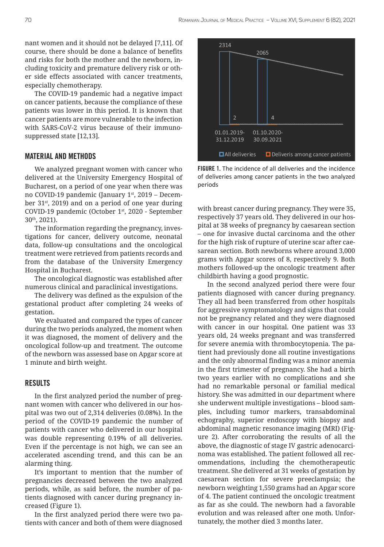nant women and it should not be delayed [7,11]. Of course, there should be done a balance of benefits and risks for both the mother and the newborn, including toxicity and premature delivery risk or other side effects associated with cancer treatments, especially chemotherapy.

The COVID-19 pandemic had a negative impact on cancer patients, because the compliance of these patients was lower in this period. It is known that cancer patients are more vulnerable to the infection with SARS-CoV-2 virus because of their immunosuppressed state [12,13].

# MATERIAL AND METHODS

We analyzed pregnant women with cancer who delivered at the University Emergency Hospital of Bucharest, on a period of one year when there was no COVID-19 pandemic (January 1st, 2019 – December 31st, 2019) and on a period of one year during COVID-19 pandemic (October 1st, 2020 - September 30th, 2021).

The information regarding the pregnancy, investigations for cancer, delivery outcome, neonatal data, follow-up consultations and the oncological treatment were retrieved from patients records and from the database of the University Emergency Hospital in Bucharest.

The oncological diagnostic was established after numerous clinical and paraclinical investigations.

The delivery was defined as the expulsion of the gestational product after completing 24 weeks of gestation.

We evaluated and compared the types of cancer during the two periods analyzed, the moment when it was diagnosed, the moment of delivery and the oncological follow-up and treatment. The outcome of the newborn was assessed base on Apgar score at 1 minute and birth weight.

### RESULTS

In the first analyzed period the number of pregnant women with cancer who delivered in our hospital was two out of 2,314 deliveries (0.08%). In the period of the COVID-19 pandemic the number of patients with cancer who delivered in our hospital was double representing 0.19% of all deliveries. Even if the percentage is not high, we can see an accelerated ascending trend, and this can be an alarming thing.

It's important to mention that the number of pregnancies decreased between the two analyzed periods, while, as said before, the number of patients diagnosed with cancer during pregnancy increased (Figure 1).

In the first analyzed period there were two patients with cancer and both of them were diagnosed



FIGURE 1. The incidence of all deliveries and the incidence of deliveries among cancer patients in the two analyzed periods

with breast cancer during pregnancy. They were 35, respectively 37 years old. They delivered in our hospital at 38 weeks of pregnancy by caesarean section – one for invasive ductal carcinoma and the other for the high risk of rupture of uterine scar after caesarean section. Both newborns where around 3,000 grams with Apgar scores of 8, respectively 9. Both mothers followed-up the oncologic treatment after childbirth having a good prognostic.

In the second analyzed period there were four patients diagnosed with cancer during pregnancy. They all had been transferred from other hospitals for aggressive symptomatology and signs that could not be pregnancy related and they were diagnosed with cancer in our hospital. One patient was 33 years old, 24 weeks pregnant and was transferred for severe anemia with thrombocytopenia. The patient had previously done all routine investigations and the only abnormal finding was a minor anemia in the first trimester of pregnancy. She had a birth two years earlier with no complications and she had no remarkable personal or familial medical history. She was admitted in our department where she underwent multiple investigations – blood samples, including tumor markers, transabdominal echography, superior endoscopy with biopsy and abdominal magnetic resonance imaging (MRI) (Figure 2). After corroborating the results of all the above, the diagnostic of stage IV gastric adenocarcinoma was established. The patient followed all recommendations, including the chemotherapeutic treatment. She delivered at 31 weeks of gestation by caesarean section for severe preeclampsia; the newborn weighting 1,550 grams had an Apgar score of 4. The patient continued the oncologic treatment as far as she could. The newborn had a favorable evolution and was released after one moth. Unfortunately, the mother died 3 months later.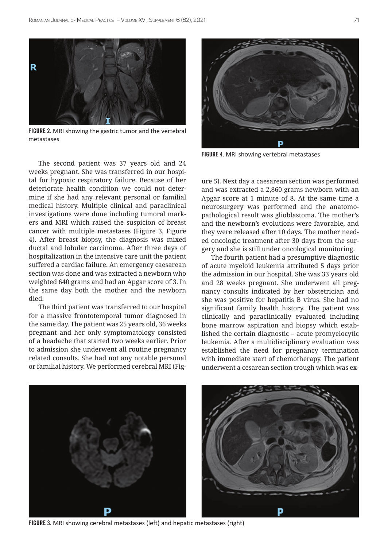

FIGURE 2. MRI showing the gastric tumor and the vertebral metastases



The third patient was transferred to our hospital for a massive frontotemporal tumor diagnosed in the same day. The patient was 25 years old, 36 weeks pregnant and her only symptomatology consisted of a headache that started two weeks earlier. Prior to admission she underwent all routine pregnancy related consults. She had not any notable personal or familial history. We performed cerebral MRI (Fig-



FIGURE 4. MRI showing vertebral metastases

ure 5). Next day a caesarean section was performed and was extracted a 2,860 grams newborn with an Apgar score at 1 minute of 8. At the same time a neurosurgery was performed and the anatomopathological result was glioblastoma. The mother's and the newborn's evolutions were favorable, and they were released after 10 days. The mother needed oncologic treatment after 30 days from the surgery and she is still under oncological monitoring.

The fourth patient had a presumptive diagnostic of acute myeloid leukemia attributed 5 days prior the admission in our hospital. She was 33 years old and 28 weeks pregnant. She underwent all pregnancy consults indicated by her obstetrician and she was positive for hepatitis B virus. She had no significant family health history. The patient was clinically and paraclinically evaluated including bone marrow aspiration and biopsy which established the certain diagnostic – acute promyelocytic leukemia. After a multidisciplinary evaluation was established the need for pregnancy termination with immediate start of chemotherapy. The patient underwent a cesarean section trough which was ex-



FIGURE 3. MRI showing cerebral metastases (left) and hepatic metastases (right)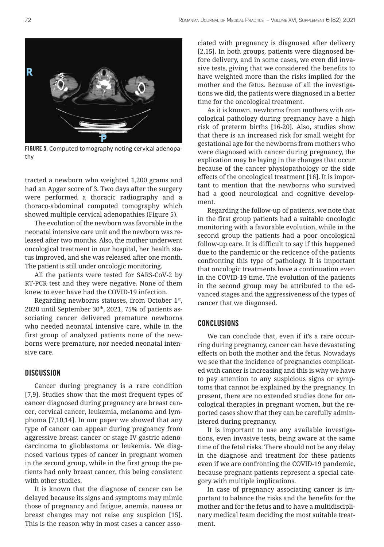

FIGURE 5. Computed tomography noting cervical adenopathy

tracted a newborn who weighted 1,200 grams and had an Apgar score of 3. Two days after the surgery were performed a thoracic radiography and a thoraco-abdominal computed tomography which showed multiple cervical adenopathies (Figure 5).

The evolution of the newborn was favorable in the neonatal intensive care unit and the newborn was released after two months. Also, the mother underwent oncological treatment in our hospital, her health status improved, and she was released after one month. The patient is still under oncologic monitoring.

All the patients were tested for SARS-CoV-2 by RT-PCR test and they were negative. None of them knew to ever have had the COVID-19 infection.

Regarding newborns statuses, from October 1st,  $2020$  until September  $30<sup>th</sup>$ ,  $2021$ ,  $75%$  of patients associating cancer delivered premature newborns who needed neonatal intensive care, while in the first group of analyzed patients none of the newborns were premature, nor needed neonatal intensive care.

#### **DISCUSSION**

Cancer during pregnancy is a rare condition [7,9]. Studies show that the most frequent types of cancer diagnosed during pregnancy are breast cancer, cervical cancer, leukemia, melanoma and lymphoma [7,10,14]. In our paper we showed that any type of cancer can appear during pregnancy from aggressive breast cancer or stage IV gastric adenocarcinoma to glioblastoma or leukemia. We diagnosed various types of cancer in pregnant women in the second group, while in the first group the patients had only breast cancer, this being consistent with other studies.

It is known that the diagnose of cancer can be delayed because its signs and symptoms may mimic those of pregnancy and fatigue, anemia, nausea or breast changes may not raise any suspicion [15]. This is the reason why in most cases a cancer associated with pregnancy is diagnosed after delivery [2,15]. In both groups, patients were diagnosed before delivery, and in some cases, we even did invasive tests, giving that we considered the benefits to have weighted more than the risks implied for the mother and the fetus. Because of all the investigations we did, the patients were diagnosed in a better time for the oncological treatment.

As it is known, newborns from mothers with oncological pathology during pregnancy have a high risk of preterm births [16-20]. Also, studies show that there is an increased risk for small weight for gestational age for the newborns from mothers who were diagnosed with cancer during pregnancy, the explication may be laying in the changes that occur because of the cancer physiopathology or the side effects of the oncological treatment [16]. It is important to mention that the newborns who survived had a good neurological and cognitive development.

Regarding the follow-up of patients, we note that in the first group patients had a suitable oncologic monitoring with a favorable evolution, while in the second group the patients had a poor oncological follow-up care. It is difficult to say if this happened due to the pandemic or the reticence of the patients confronting this type of pathology. It is important that oncologic treatments have a continuation even in the COVID-19 time. The evolution of the patients in the second group may be attributed to the advanced stages and the aggressiveness of the types of cancer that we diagnosed.

# **CONCLUSIONS**

We can conclude that, even if it's a rare occurring during pregnancy, cancer can have devastating effects on both the mother and the fetus. Nowadays we see that the incidence of pregnancies complicated with cancer is increasing and this is why we have to pay attention to any suspicious signs or symptoms that cannot be explained by the pregnancy. In present, there are no extended studies done for oncological therapies in pregnant women, but the reported cases show that they can be carefully administered during pregnancy.

It is important to use any available investigations, even invasive tests, being aware at the same time of the fetal risks. There should not be any delay in the diagnose and treatment for these patients even if we are confronting the COVID-19 pandemic, because pregnant patients represent a special category with multiple implications.

In case of pregnancy associating cancer is important to balance the risks and the benefits for the mother and for the fetus and to have a multidisciplinary medical team deciding the most suitable treatment.